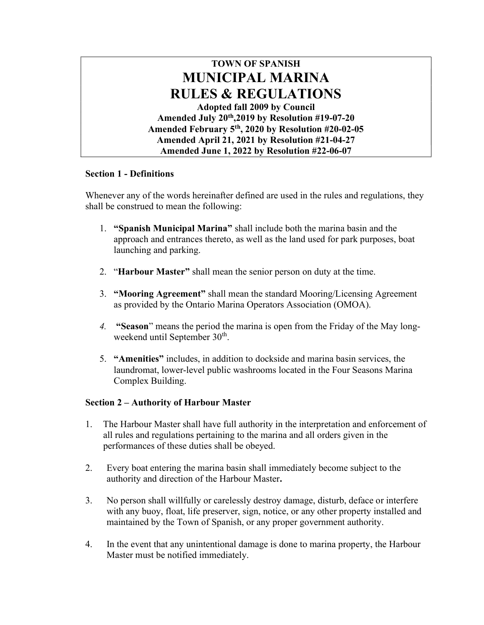

# Section 1 - Definitions

Whenever any of the words hereinafter defined are used in the rules and regulations, they shall be construed to mean the following:

- 1. "Spanish Municipal Marina" shall include both the marina basin and the approach and entrances thereto, as well as the land used for park purposes, boat launching and parking.
- 2. "Harbour Master" shall mean the senior person on duty at the time.
- 3. "Mooring Agreement" shall mean the standard Mooring/Licensing Agreement as provided by the Ontario Marina Operators Association (OMOA).
- 4. "Season" means the period the marina is open from the Friday of the May longweekend until September 30<sup>th</sup>.
- 5. "Amenities" includes, in addition to dockside and marina basin services, the laundromat, lower-level public washrooms located in the Four Seasons Marina Complex Building.

# Section 2 – Authority of Harbour Master

- 1. The Harbour Master shall have full authority in the interpretation and enforcement of all rules and regulations pertaining to the marina and all orders given in the performances of these duties shall be obeyed.
- 2. Every boat entering the marina basin shall immediately become subject to the authority and direction of the Harbour Master.
- 3. No person shall willfully or carelessly destroy damage, disturb, deface or interfere with any buoy, float, life preserver, sign, notice, or any other property installed and maintained by the Town of Spanish, or any proper government authority.
- 4. In the event that any unintentional damage is done to marina property, the Harbour Master must be notified immediately.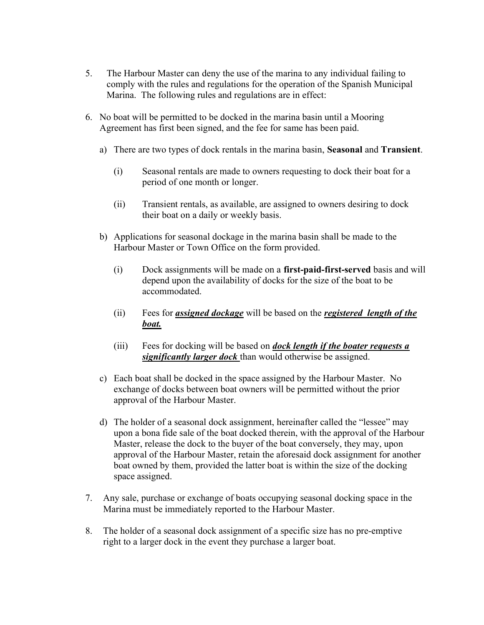- 5. The Harbour Master can deny the use of the marina to any individual failing to comply with the rules and regulations for the operation of the Spanish Municipal Marina. The following rules and regulations are in effect:
- 6. No boat will be permitted to be docked in the marina basin until a Mooring Agreement has first been signed, and the fee for same has been paid.
	- a) There are two types of dock rentals in the marina basin, Seasonal and Transient.
		- (i) Seasonal rentals are made to owners requesting to dock their boat for a period of one month or longer.
		- (ii) Transient rentals, as available, are assigned to owners desiring to dock their boat on a daily or weekly basis.
	- b) Applications for seasonal dockage in the marina basin shall be made to the Harbour Master or Town Office on the form provided.
		- (i) Dock assignments will be made on a first-paid-first-served basis and will depend upon the availability of docks for the size of the boat to be accommodated.
		- (ii) Fees for *assigned dockage* will be based on the *registered length of the* boat.
		- (iii) Fees for docking will be based on *dock length if the boater requests a* significantly larger dock than would otherwise be assigned.
	- c) Each boat shall be docked in the space assigned by the Harbour Master. No exchange of docks between boat owners will be permitted without the prior approval of the Harbour Master.
	- d) The holder of a seasonal dock assignment, hereinafter called the "lessee" may upon a bona fide sale of the boat docked therein, with the approval of the Harbour Master, release the dock to the buyer of the boat conversely, they may, upon approval of the Harbour Master, retain the aforesaid dock assignment for another boat owned by them, provided the latter boat is within the size of the docking space assigned.
- 7. Any sale, purchase or exchange of boats occupying seasonal docking space in the Marina must be immediately reported to the Harbour Master.
- 8. The holder of a seasonal dock assignment of a specific size has no pre-emptive right to a larger dock in the event they purchase a larger boat.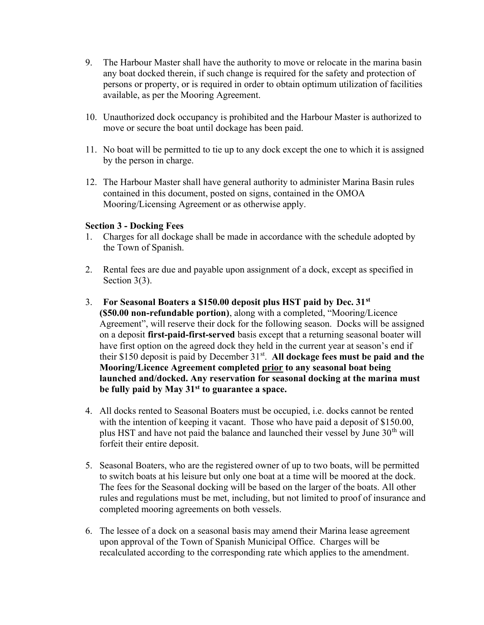- 9. The Harbour Master shall have the authority to move or relocate in the marina basin any boat docked therein, if such change is required for the safety and protection of persons or property, or is required in order to obtain optimum utilization of facilities available, as per the Mooring Agreement.
- 10. Unauthorized dock occupancy is prohibited and the Harbour Master is authorized to move or secure the boat until dockage has been paid.
- 11. No boat will be permitted to tie up to any dock except the one to which it is assigned by the person in charge.
- 12. The Harbour Master shall have general authority to administer Marina Basin rules contained in this document, posted on signs, contained in the OMOA Mooring/Licensing Agreement or as otherwise apply.

#### Section 3 - Docking Fees

- 1. Charges for all dockage shall be made in accordance with the schedule adopted by the Town of Spanish.
- 2. Rental fees are due and payable upon assignment of a dock, except as specified in Section 3(3).
- 3. For Seasonal Boaters a \$150.00 deposit plus HST paid by Dec.  $31<sup>st</sup>$ (\$50.00 non-refundable portion), along with a completed, "Mooring/Licence Agreement", will reserve their dock for the following season. Docks will be assigned on a deposit first-paid-first-served basis except that a returning seasonal boater will have first option on the agreed dock they held in the current year at season's end if their \$150 deposit is paid by December  $31<sup>st</sup>$ . All dockage fees must be paid and the Mooring/Licence Agreement completed prior to any seasonal boat being launched and/docked. Any reservation for seasonal docking at the marina must be fully paid by May  $31<sup>st</sup>$  to guarantee a space.
- 4. All docks rented to Seasonal Boaters must be occupied, i.e. docks cannot be rented with the intention of keeping it vacant. Those who have paid a deposit of \$150.00, plus HST and have not paid the balance and launched their vessel by June  $30<sup>th</sup>$  will forfeit their entire deposit.
- 5. Seasonal Boaters, who are the registered owner of up to two boats, will be permitted to switch boats at his leisure but only one boat at a time will be moored at the dock. The fees for the Seasonal docking will be based on the larger of the boats. All other rules and regulations must be met, including, but not limited to proof of insurance and completed mooring agreements on both vessels.
- 6. The lessee of a dock on a seasonal basis may amend their Marina lease agreement upon approval of the Town of Spanish Municipal Office. Charges will be recalculated according to the corresponding rate which applies to the amendment.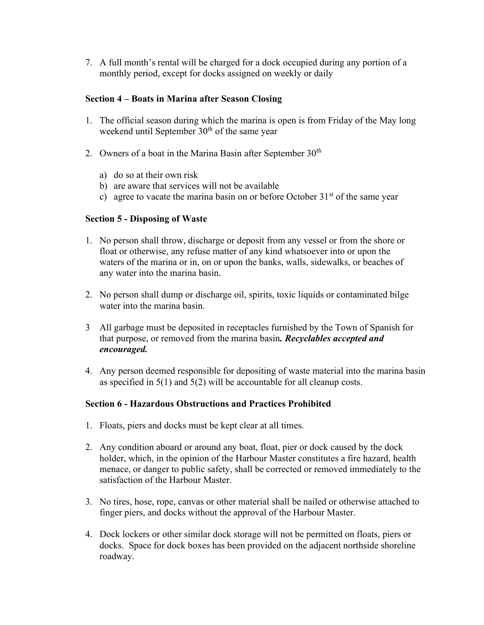7. A full month's rental will be charged for a dock occupied during any portion of a monthly period, except for docks assigned on weekly or daily

#### Section 4 – Boats in Marina after Season Closing

- 1. The official season during which the marina is open is from Friday of the May long weekend until September  $30<sup>th</sup>$  of the same year
- 2. Owners of a boat in the Marina Basin after September  $30<sup>th</sup>$ 
	- a) do so at their own risk
	- b) are aware that services will not be available
	- c) agree to vacate the marina basin on or before October  $31<sup>st</sup>$  of the same year

# Section 5 - Disposing of Waste

- 1. No person shall throw, discharge or deposit from any vessel or from the shore or float or otherwise, any refuse matter of any kind whatsoever into or upon the waters of the marina or in, on or upon the banks, walls, sidewalks, or beaches of any water into the marina basin.
- 2. No person shall dump or discharge oil, spirits, toxic liquids or contaminated bilge water into the marina basin.
- 3 All garbage must be deposited in receptacles furnished by the Town of Spanish for that purpose, or removed from the marina basin. Recyclables accepted and encouraged.
- 4. Any person deemed responsible for depositing of waste material into the marina basin as specified in 5(1) and 5(2) will be accountable for all cleanup costs.

# Section 6 - Hazardous Obstructions and Practices Prohibited

- 1. Floats, piers and docks must be kept clear at all times.
- 2. Any condition aboard or around any boat, float, pier or dock caused by the dock holder, which, in the opinion of the Harbour Master constitutes a fire hazard, health menace, or danger to public safety, shall be corrected or removed immediately to the satisfaction of the Harbour Master.
- 3. No tires, hose, rope, canvas or other material shall be nailed or otherwise attached to finger piers, and docks without the approval of the Harbour Master.
- 4. Dock lockers or other similar dock storage will not be permitted on floats, piers or docks. Space for dock boxes has been provided on the adjacent northside shoreline roadway.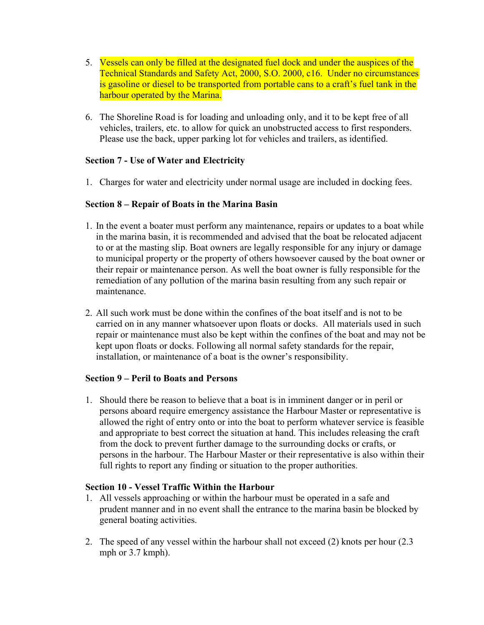- 5. Vessels can only be filled at the designated fuel dock and under the auspices of the Technical Standards and Safety Act, 2000, S.O. 2000, c16. Under no circumstances is gasoline or diesel to be transported from portable cans to a craft's fuel tank in the harbour operated by the Marina.
- 6. The Shoreline Road is for loading and unloading only, and it to be kept free of all vehicles, trailers, etc. to allow for quick an unobstructed access to first responders. Please use the back, upper parking lot for vehicles and trailers, as identified.

# Section 7 - Use of Water and Electricity

1. Charges for water and electricity under normal usage are included in docking fees.

# Section 8 – Repair of Boats in the Marina Basin

- 1. In the event a boater must perform any maintenance, repairs or updates to a boat while in the marina basin, it is recommended and advised that the boat be relocated adjacent to or at the masting slip. Boat owners are legally responsible for any injury or damage to municipal property or the property of others howsoever caused by the boat owner or their repair or maintenance person. As well the boat owner is fully responsible for the remediation of any pollution of the marina basin resulting from any such repair or maintenance.
- 2. All such work must be done within the confines of the boat itself and is not to be carried on in any manner whatsoever upon floats or docks. All materials used in such repair or maintenance must also be kept within the confines of the boat and may not be kept upon floats or docks. Following all normal safety standards for the repair, installation, or maintenance of a boat is the owner's responsibility.

#### Section 9 – Peril to Boats and Persons

1. Should there be reason to believe that a boat is in imminent danger or in peril or persons aboard require emergency assistance the Harbour Master or representative is allowed the right of entry onto or into the boat to perform whatever service is feasible and appropriate to best correct the situation at hand. This includes releasing the craft from the dock to prevent further damage to the surrounding docks or crafts, or persons in the harbour. The Harbour Master or their representative is also within their full rights to report any finding or situation to the proper authorities.

#### Section 10 - Vessel Traffic Within the Harbour

- 1. All vessels approaching or within the harbour must be operated in a safe and prudent manner and in no event shall the entrance to the marina basin be blocked by general boating activities.
- 2. The speed of any vessel within the harbour shall not exceed (2) knots per hour (2.3 mph or 3.7 kmph).